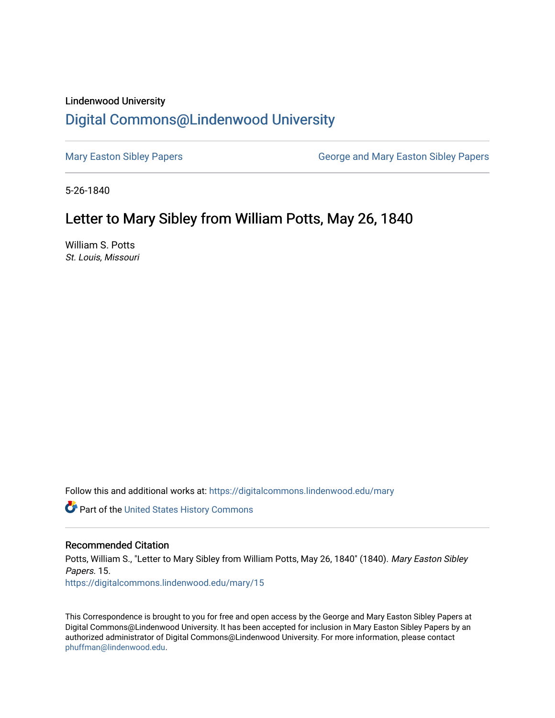## Lindenwood University

## [Digital Commons@Lindenwood University](https://digitalcommons.lindenwood.edu/)

[Mary Easton Sibley Papers](https://digitalcommons.lindenwood.edu/mary) **George and Mary Easton Sibley Papers** George and Mary Easton Sibley Papers

5-26-1840

## Letter to Mary Sibley from William Potts, May 26, 1840

William S. Potts St. Louis, Missouri

Follow this and additional works at: [https://digitalcommons.lindenwood.edu/mary](https://digitalcommons.lindenwood.edu/mary?utm_source=digitalcommons.lindenwood.edu%2Fmary%2F15&utm_medium=PDF&utm_campaign=PDFCoverPages) 

Part of the [United States History Commons](http://network.bepress.com/hgg/discipline/495?utm_source=digitalcommons.lindenwood.edu%2Fmary%2F15&utm_medium=PDF&utm_campaign=PDFCoverPages) 

## Recommended Citation

Potts, William S., "Letter to Mary Sibley from William Potts, May 26, 1840" (1840). Mary Easton Sibley Papers. 15. [https://digitalcommons.lindenwood.edu/mary/15](https://digitalcommons.lindenwood.edu/mary/15?utm_source=digitalcommons.lindenwood.edu%2Fmary%2F15&utm_medium=PDF&utm_campaign=PDFCoverPages)

This Correspondence is brought to you for free and open access by the George and Mary Easton Sibley Papers at Digital Commons@Lindenwood University. It has been accepted for inclusion in Mary Easton Sibley Papers by an authorized administrator of Digital Commons@Lindenwood University. For more information, please contact [phuffman@lindenwood.edu](mailto:phuffman@lindenwood.edu).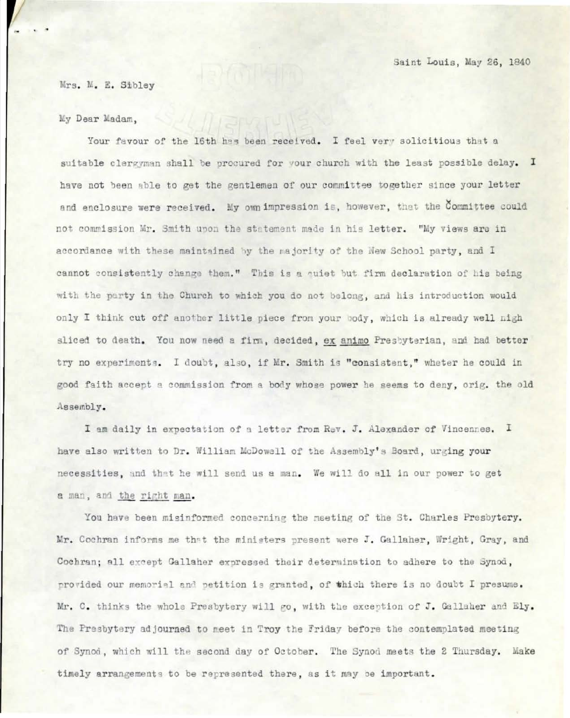Mrs. M. E. Sibley

My Dear Madam,

Your favour of the 16th has been received. I feel very solicitious that a suitable clergyman shall be procured for your church with the least possible delay. I have not been able to get the gentlemen of our committee together since your letter and enclosure were received. My own impression is, however, that the Committee could not commission Mr. Smith upon the statement made in his letter. "My views are in accordance with these maintained by the majority of the New School party, and I cannot consistently change them." This is a quiet but firm declaration of his being with the party in the Church to which you do not belong, and his introduction would only I think cut off another little piece from your body, which is already well nigh sliced to death. You now need a firm, decided, ex animo Presbyterian, and had better try no experiments. I doubt, also, if Mr. Smith is "consistent," wheter he could in good faith accept a commission from a body whose power he seems to deny, orig. the old Assembly.

I am daily in expectation of a letter from Rev. J. Alexander of Vincennes. I have also written to Dr. William McDowell of the Assembly's Board, urging your necessities, and that he will send us a man. We will do all in our power to get a man, and the right man.

You have been misinformed concerning the meeting of the St. Charles Presbytery. Mr. Cochran informs me that the ministers present were J. Gallaher, Wright, Gray, and Cochran; all except Gallaher expressed their determination to adhere to the Synod, provided our memorial and petition is granted, of which there is no doubt I presume. Mr. C. thinks the whole Presbytery will go, with the exception of J. Gallaher and Ely. The Presbytery adjourned to meet in Troy the Friday before the contemplated meeting of Synod, which will the second day of October. The Synod meets the 2 Thursday. Make timely arrangements to be represented there, as it may be important.